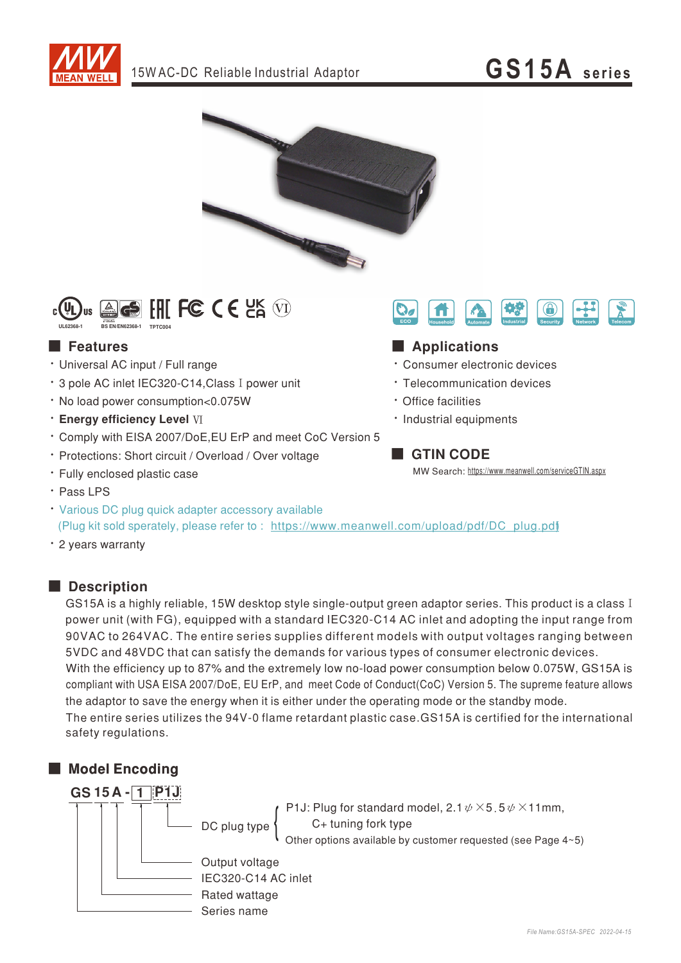





### **Features**

- · Universal AC input / Full range
- \* 3 pole AC inlet IEC320-C14. Class I power unit
- · No load power consumption<0.075W
- **· Energy efficiency Level VI**
- \* Comply with EISA 2007/DoE, EU ErP and meet CoC Version 5
- · Protections: Short circuit / Overload / Over voltage
- · Fully enclosed plastic case
- · Pass LPS
- Various DC plug quick adapter accessory available (Plug kit sold sperately, please refer to: https://www.meanwell.com/upload/pdf/DC\_plug.pdf
- · 2 years warranty

## Description

GS15A is a highly reliable, 15W desktop style single-output green adaptor series. This product is a class I power unit (with FG), equipped with a standard IEC320-C14 AC inlet and adopting the input range from 90VAC to 264VAC. The entire series supplies different models with output voltages ranging between 5VDC and 48VDC that can satisfy the demands for various types of consumer electronic devices. With the efficiency up to 87% and the extremely low no-load power consumption below 0.075W, GS15A is compliant with USA EISA 2007/DoE, EU ErP, and meet Code of Conduct(CoC) Version 5. The supreme feature allows the adaptor to save the energy when it is either under the operating mode or the standby mode.

The entire series utilizes the 94V-0 flame retardant plastic case. GS15A is certified for the international safety regulations.

# Model Encoding



P1J: Plug for standard model,  $2.1 \psi \times 5.5 \psi \times 11$ mm, C+ tuning fork type Other options available by customer requested (see Page 4~5)

Output voltage IEC320-C14 AC inlet Rated wattage Series name



- · Consumer electronic devices
- · Telecommunication devices
- Office facilities

A

 $\mathbf{O}_{d}$ 

· Industrial equipments

# **GTIN CODE**

MW Search: https://www.meanwell.com/serviceGTIN.aspx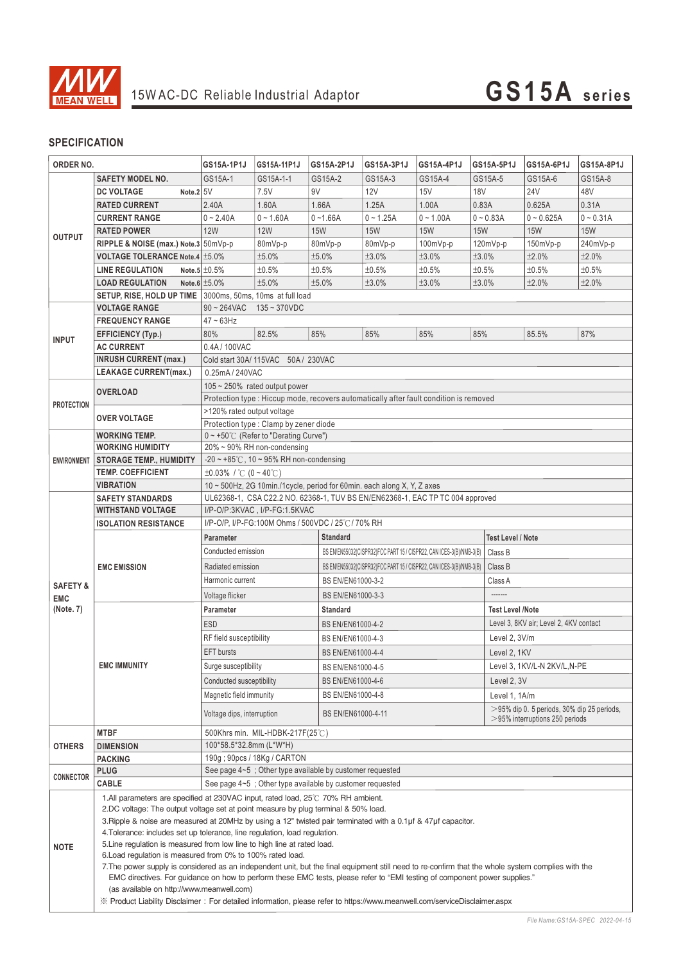

### **SPECIFICATION**

| ORDER NO.               |                                                                                                                                                                                                                                                                                                                                                                                                                                                                                                                                                                                                                                                                                                                                                                                                                                                                                                                                                                               | GS15A-1P1J                                                                                                                                               | GS15A-11P1J                         | GS15A-2P1J                                                  | GS15A-3P1J               | GS15A-4P1J                                                          | GS15A-5P1J              | GS15A-6P1J                                                                         | GS15A-8P1J  |  |  |
|-------------------------|-------------------------------------------------------------------------------------------------------------------------------------------------------------------------------------------------------------------------------------------------------------------------------------------------------------------------------------------------------------------------------------------------------------------------------------------------------------------------------------------------------------------------------------------------------------------------------------------------------------------------------------------------------------------------------------------------------------------------------------------------------------------------------------------------------------------------------------------------------------------------------------------------------------------------------------------------------------------------------|----------------------------------------------------------------------------------------------------------------------------------------------------------|-------------------------------------|-------------------------------------------------------------|--------------------------|---------------------------------------------------------------------|-------------------------|------------------------------------------------------------------------------------|-------------|--|--|
|                         | <b>SAFETY MODEL NO.</b>                                                                                                                                                                                                                                                                                                                                                                                                                                                                                                                                                                                                                                                                                                                                                                                                                                                                                                                                                       | GS15A-1                                                                                                                                                  | GS15A-1-1                           | GS15A-2                                                     | GS15A-3                  | GS15A-4                                                             | GS15A-5                 | GS15A-6                                                                            | GS15A-8     |  |  |
|                         | Note. $2 5V$<br><b>DC VOLTAGE</b>                                                                                                                                                                                                                                                                                                                                                                                                                                                                                                                                                                                                                                                                                                                                                                                                                                                                                                                                             |                                                                                                                                                          | 7.5V                                | 9V                                                          | 12V                      | 15V                                                                 | <b>18V</b>              | <b>24V</b>                                                                         | 48V         |  |  |
|                         | <b>RATED CURRENT</b>                                                                                                                                                                                                                                                                                                                                                                                                                                                                                                                                                                                                                                                                                                                                                                                                                                                                                                                                                          | 2.40A                                                                                                                                                    | 1.60A                               | 1.66A                                                       | 1.25A                    | 1.00A                                                               | 0.83A                   | 0.625A                                                                             | 0.31A       |  |  |
|                         | <b>CURRENT RANGE</b>                                                                                                                                                                                                                                                                                                                                                                                                                                                                                                                                                                                                                                                                                                                                                                                                                                                                                                                                                          | $0 - 2.40A$                                                                                                                                              | $0 - 1.60A$                         | $0 - 1.66A$                                                 | $0 - 1.25A$              | $0 - 1.00A$                                                         | $0 - 0.83A$             | $0 - 0.625A$                                                                       | $0 - 0.31A$ |  |  |
|                         | <b>RATED POWER</b>                                                                                                                                                                                                                                                                                                                                                                                                                                                                                                                                                                                                                                                                                                                                                                                                                                                                                                                                                            | <b>12W</b>                                                                                                                                               | <b>12W</b>                          | <b>15W</b>                                                  | <b>15W</b>               | <b>15W</b>                                                          | <b>15W</b>              | <b>15W</b>                                                                         | <b>15W</b>  |  |  |
| <b>OUTPUT</b>           | RIPPLE & NOISE (max.) Note.3 50mVp-p                                                                                                                                                                                                                                                                                                                                                                                                                                                                                                                                                                                                                                                                                                                                                                                                                                                                                                                                          |                                                                                                                                                          | 80mVp-p                             | 80mVp-p                                                     | 80mVp-p                  | 100mVp-p                                                            | 120mVp-p                | 150mVp-p                                                                           | 240mVp-p    |  |  |
|                         | <b>VOLTAGE TOLERANCE Note.4 ±5.0%</b>                                                                                                                                                                                                                                                                                                                                                                                                                                                                                                                                                                                                                                                                                                                                                                                                                                                                                                                                         |                                                                                                                                                          | ±5.0%                               | ±5.0%                                                       | ±3.0%                    | ±3.0%                                                               | ±3.0%                   | ±2.0%                                                                              | ±2.0%       |  |  |
|                         | <b>LINE REGULATION</b>                                                                                                                                                                                                                                                                                                                                                                                                                                                                                                                                                                                                                                                                                                                                                                                                                                                                                                                                                        | Note.5 $\pm 0.5\%$                                                                                                                                       | ±0.5%                               | ±0.5%                                                       | ±0.5%                    | ±0.5%                                                               | ±0.5%                   | ±0.5%                                                                              | ±0.5%       |  |  |
|                         | <b>LOAD REGULATION</b>                                                                                                                                                                                                                                                                                                                                                                                                                                                                                                                                                                                                                                                                                                                                                                                                                                                                                                                                                        | Note.6 $\pm 5.0\%$                                                                                                                                       | ±5.0%                               | ±5.0%                                                       | ±3.0%                    | ±3.0%                                                               | ±3.0%                   | ±2.0%                                                                              | ±2.0%       |  |  |
|                         |                                                                                                                                                                                                                                                                                                                                                                                                                                                                                                                                                                                                                                                                                                                                                                                                                                                                                                                                                                               |                                                                                                                                                          |                                     |                                                             |                          |                                                                     |                         |                                                                                    |             |  |  |
|                         | <b>VOLTAGE RANGE</b>                                                                                                                                                                                                                                                                                                                                                                                                                                                                                                                                                                                                                                                                                                                                                                                                                                                                                                                                                          | SETUP, RISE, HOLD UP TIME 3000ms, 50ms, 10ms at full load                                                                                                |                                     |                                                             |                          |                                                                     |                         |                                                                                    |             |  |  |
| <b>INPUT</b>            |                                                                                                                                                                                                                                                                                                                                                                                                                                                                                                                                                                                                                                                                                                                                                                                                                                                                                                                                                                               | $90 \sim 264$ VAC<br>$135 - 370$ VDC<br>$47 \sim 63$ Hz                                                                                                  |                                     |                                                             |                          |                                                                     |                         |                                                                                    |             |  |  |
|                         | <b>FREQUENCY RANGE</b>                                                                                                                                                                                                                                                                                                                                                                                                                                                                                                                                                                                                                                                                                                                                                                                                                                                                                                                                                        |                                                                                                                                                          | 82.5%                               | 85%                                                         | 85%                      | 85%                                                                 | 85%                     | 85.5%                                                                              | 87%         |  |  |
|                         | EFFICIENCY (Typ.)                                                                                                                                                                                                                                                                                                                                                                                                                                                                                                                                                                                                                                                                                                                                                                                                                                                                                                                                                             | 80%                                                                                                                                                      |                                     |                                                             |                          |                                                                     |                         |                                                                                    |             |  |  |
|                         | <b>AC CURRENT</b>                                                                                                                                                                                                                                                                                                                                                                                                                                                                                                                                                                                                                                                                                                                                                                                                                                                                                                                                                             | 0.4A/100VAC                                                                                                                                              |                                     |                                                             |                          |                                                                     |                         |                                                                                    |             |  |  |
|                         | <b>INRUSH CURRENT (max.)</b>                                                                                                                                                                                                                                                                                                                                                                                                                                                                                                                                                                                                                                                                                                                                                                                                                                                                                                                                                  | Cold start 30A/115VAC 50A / 230VAC                                                                                                                       |                                     |                                                             |                          |                                                                     |                         |                                                                                    |             |  |  |
|                         | <b>LEAKAGE CURRENT(max.)</b>                                                                                                                                                                                                                                                                                                                                                                                                                                                                                                                                                                                                                                                                                                                                                                                                                                                                                                                                                  |                                                                                                                                                          | 0.25mA / 240VAC                     |                                                             |                          |                                                                     |                         |                                                                                    |             |  |  |
|                         | <b>OVERLOAD</b>                                                                                                                                                                                                                                                                                                                                                                                                                                                                                                                                                                                                                                                                                                                                                                                                                                                                                                                                                               |                                                                                                                                                          | $105 \sim 250\%$ rated output power |                                                             |                          |                                                                     |                         |                                                                                    |             |  |  |
| <b>PROTECTION</b>       |                                                                                                                                                                                                                                                                                                                                                                                                                                                                                                                                                                                                                                                                                                                                                                                                                                                                                                                                                                               | Protection type : Hiccup mode, recovers automatically after fault condition is removed                                                                   |                                     |                                                             |                          |                                                                     |                         |                                                                                    |             |  |  |
|                         | <b>OVER VOLTAGE</b>                                                                                                                                                                                                                                                                                                                                                                                                                                                                                                                                                                                                                                                                                                                                                                                                                                                                                                                                                           | >120% rated output voltage                                                                                                                               |                                     |                                                             |                          |                                                                     |                         |                                                                                    |             |  |  |
|                         | <b>WORKING TEMP.</b>                                                                                                                                                                                                                                                                                                                                                                                                                                                                                                                                                                                                                                                                                                                                                                                                                                                                                                                                                          | Protection type : Clamp by zener diode                                                                                                                   |                                     |                                                             |                          |                                                                     |                         |                                                                                    |             |  |  |
|                         | <b>WORKING HUMIDITY</b>                                                                                                                                                                                                                                                                                                                                                                                                                                                                                                                                                                                                                                                                                                                                                                                                                                                                                                                                                       | 0~+50℃ (Refer to "Derating Curve")<br>20% ~ 90% RH non-condensing                                                                                        |                                     |                                                             |                          |                                                                     |                         |                                                                                    |             |  |  |
| <b>ENVIRONMENT</b>      | <b>STORAGE TEMP., HUMIDITY</b>                                                                                                                                                                                                                                                                                                                                                                                                                                                                                                                                                                                                                                                                                                                                                                                                                                                                                                                                                | -20 $\sim$ +85°C, 10 $\sim$ 95% RH non-condensing                                                                                                        |                                     |                                                             |                          |                                                                     |                         |                                                                                    |             |  |  |
|                         | <b>TEMP. COEFFICIENT</b>                                                                                                                                                                                                                                                                                                                                                                                                                                                                                                                                                                                                                                                                                                                                                                                                                                                                                                                                                      | ±0.03% / $\degree$ C (0 ~ 40 $\degree$ C)                                                                                                                |                                     |                                                             |                          |                                                                     |                         |                                                                                    |             |  |  |
|                         | <b>VIBRATION</b>                                                                                                                                                                                                                                                                                                                                                                                                                                                                                                                                                                                                                                                                                                                                                                                                                                                                                                                                                              |                                                                                                                                                          |                                     |                                                             |                          |                                                                     |                         |                                                                                    |             |  |  |
|                         | <b>SAFETY STANDARDS</b>                                                                                                                                                                                                                                                                                                                                                                                                                                                                                                                                                                                                                                                                                                                                                                                                                                                                                                                                                       | 10 ~ 500Hz, 2G 10min./1cycle, period for 60min. each along X, Y, Z axes<br>UL62368-1, CSA C22.2 NO. 62368-1, TUV BS EN/EN62368-1, EAC TP TC 004 approved |                                     |                                                             |                          |                                                                     |                         |                                                                                    |             |  |  |
|                         | <b>WITHSTAND VOLTAGE</b>                                                                                                                                                                                                                                                                                                                                                                                                                                                                                                                                                                                                                                                                                                                                                                                                                                                                                                                                                      | I/P-O/P:3KVAC, I/P-FG:1.5KVAC                                                                                                                            |                                     |                                                             |                          |                                                                     |                         |                                                                                    |             |  |  |
|                         | <b>ISOLATION RESISTANCE</b>                                                                                                                                                                                                                                                                                                                                                                                                                                                                                                                                                                                                                                                                                                                                                                                                                                                                                                                                                   |                                                                                                                                                          |                                     | I/P-O/P, I/P-FG:100M Ohms / 500VDC / 25℃/ 70% RH            |                          |                                                                     |                         |                                                                                    |             |  |  |
|                         |                                                                                                                                                                                                                                                                                                                                                                                                                                                                                                                                                                                                                                                                                                                                                                                                                                                                                                                                                                               | Parameter                                                                                                                                                |                                     |                                                             | <b>Test Level / Note</b> |                                                                     |                         |                                                                                    |             |  |  |
|                         |                                                                                                                                                                                                                                                                                                                                                                                                                                                                                                                                                                                                                                                                                                                                                                                                                                                                                                                                                                               | Conducted emission<br>BS EN/EN55032(CISPR32)FCC PART 15 / CISPR22, CAN ICES-3(B)/NMB-3(B)<br>Class B                                                     |                                     |                                                             |                          |                                                                     |                         |                                                                                    |             |  |  |
|                         |                                                                                                                                                                                                                                                                                                                                                                                                                                                                                                                                                                                                                                                                                                                                                                                                                                                                                                                                                                               |                                                                                                                                                          |                                     |                                                             |                          |                                                                     |                         |                                                                                    |             |  |  |
|                         |                                                                                                                                                                                                                                                                                                                                                                                                                                                                                                                                                                                                                                                                                                                                                                                                                                                                                                                                                                               | Radiated emission                                                                                                                                        |                                     |                                                             |                          |                                                                     |                         |                                                                                    |             |  |  |
|                         | <b>EMC EMISSION</b>                                                                                                                                                                                                                                                                                                                                                                                                                                                                                                                                                                                                                                                                                                                                                                                                                                                                                                                                                           | Harmonic current                                                                                                                                         |                                     |                                                             |                          | BS EN/EN55032(CISPR32)FCC PART 15 / CISPR22, CAN ICES-3(B)/NMB-3(B) | Class B                 |                                                                                    |             |  |  |
| <b>SAFETY &amp;</b>     |                                                                                                                                                                                                                                                                                                                                                                                                                                                                                                                                                                                                                                                                                                                                                                                                                                                                                                                                                                               |                                                                                                                                                          |                                     | BS EN/EN61000-3-2<br>BS EN/EN61000-3-3                      |                          |                                                                     | Class A<br>-------      |                                                                                    |             |  |  |
| <b>EMC</b><br>(Note. 7) |                                                                                                                                                                                                                                                                                                                                                                                                                                                                                                                                                                                                                                                                                                                                                                                                                                                                                                                                                                               | Voltage flicker<br>Parameter                                                                                                                             |                                     | <b>Standard</b>                                             |                          |                                                                     | <b>Test Level /Note</b> |                                                                                    |             |  |  |
|                         |                                                                                                                                                                                                                                                                                                                                                                                                                                                                                                                                                                                                                                                                                                                                                                                                                                                                                                                                                                               | <b>ESD</b>                                                                                                                                               |                                     | BS EN/EN61000-4-2                                           |                          |                                                                     |                         | Level 3, 8KV air; Level 2, 4KV contact                                             |             |  |  |
|                         |                                                                                                                                                                                                                                                                                                                                                                                                                                                                                                                                                                                                                                                                                                                                                                                                                                                                                                                                                                               | RF field susceptibility                                                                                                                                  |                                     | BS EN/EN61000-4-3                                           |                          |                                                                     | Level 2, 3V/m           |                                                                                    |             |  |  |
|                         |                                                                                                                                                                                                                                                                                                                                                                                                                                                                                                                                                                                                                                                                                                                                                                                                                                                                                                                                                                               | EFT bursts                                                                                                                                               |                                     | BS EN/EN61000-4-4                                           |                          |                                                                     | Level 2, 1KV            |                                                                                    |             |  |  |
|                         | <b>EMC IMMUNITY</b>                                                                                                                                                                                                                                                                                                                                                                                                                                                                                                                                                                                                                                                                                                                                                                                                                                                                                                                                                           | Surge susceptibility                                                                                                                                     |                                     | BS EN/EN61000-4-5                                           |                          |                                                                     |                         | Level 3, 1KV/L-N 2KV/L,N-PE                                                        |             |  |  |
|                         |                                                                                                                                                                                                                                                                                                                                                                                                                                                                                                                                                                                                                                                                                                                                                                                                                                                                                                                                                                               | Conducted susceptibility                                                                                                                                 |                                     | BS EN/EN61000-4-6                                           |                          |                                                                     | Level 2, 3V             |                                                                                    |             |  |  |
|                         |                                                                                                                                                                                                                                                                                                                                                                                                                                                                                                                                                                                                                                                                                                                                                                                                                                                                                                                                                                               | Magnetic field immunity                                                                                                                                  |                                     | BS EN/EN61000-4-8                                           |                          |                                                                     | Level 1, 1A/m           |                                                                                    |             |  |  |
|                         |                                                                                                                                                                                                                                                                                                                                                                                                                                                                                                                                                                                                                                                                                                                                                                                                                                                                                                                                                                               | Voltage dips, interruption                                                                                                                               |                                     | BS EN/EN61000-4-11                                          |                          |                                                                     |                         | $>95\%$ dip 0. 5 periods, 30% dip 25 periods,<br>$>$ 95% interruptions 250 periods |             |  |  |
|                         | <b>MTBF</b>                                                                                                                                                                                                                                                                                                                                                                                                                                                                                                                                                                                                                                                                                                                                                                                                                                                                                                                                                                   |                                                                                                                                                          | 500Khrs min. MIL-HDBK-217F(25℃)     |                                                             |                          |                                                                     |                         |                                                                                    |             |  |  |
| <b>OTHERS</b>           | <b>DIMENSION</b>                                                                                                                                                                                                                                                                                                                                                                                                                                                                                                                                                                                                                                                                                                                                                                                                                                                                                                                                                              | 100*58.5*32.8mm (L*W*H)                                                                                                                                  |                                     |                                                             |                          |                                                                     |                         |                                                                                    |             |  |  |
|                         | <b>PACKING</b>                                                                                                                                                                                                                                                                                                                                                                                                                                                                                                                                                                                                                                                                                                                                                                                                                                                                                                                                                                | 190g ; 90pcs / 18Kg / CARTON                                                                                                                             |                                     |                                                             |                          |                                                                     |                         |                                                                                    |             |  |  |
|                         | <b>PLUG</b>                                                                                                                                                                                                                                                                                                                                                                                                                                                                                                                                                                                                                                                                                                                                                                                                                                                                                                                                                                   |                                                                                                                                                          |                                     | See page $4-5$ ; Other type available by customer requested |                          |                                                                     |                         |                                                                                    |             |  |  |
| <b>CONNECTOR</b>        | <b>CABLE</b>                                                                                                                                                                                                                                                                                                                                                                                                                                                                                                                                                                                                                                                                                                                                                                                                                                                                                                                                                                  |                                                                                                                                                          |                                     | See page 4~5; Other type available by customer requested    |                          |                                                                     |                         |                                                                                    |             |  |  |
| <b>NOTE</b>             | 1.All parameters are specified at 230VAC input, rated load, 25°C 70% RH ambient.<br>2.DC voltage: The output voltage set at point measure by plug terminal & 50% load.<br>3. Ripple & noise are measured at 20MHz by using a 12" twisted pair terminated with a 0.1µf & 47µf capacitor.<br>4. Tolerance: includes set up tolerance, line regulation, load regulation.<br>5. Line regulation is measured from low line to high line at rated load.<br>6. Load regulation is measured from 0% to 100% rated load.<br>7. The power supply is considered as an independent unit, but the final equipment still need to re-confirm that the whole system complies with the<br>EMC directives. For guidance on how to perform these EMC tests, please refer to "EMI testing of component power supplies."<br>(as available on http://www.meanwell.com)<br>X Product Liability Disclaimer: For detailed information, please refer to https://www.meanwell.com/serviceDisclaimer.aspx |                                                                                                                                                          |                                     |                                                             |                          |                                                                     |                         |                                                                                    |             |  |  |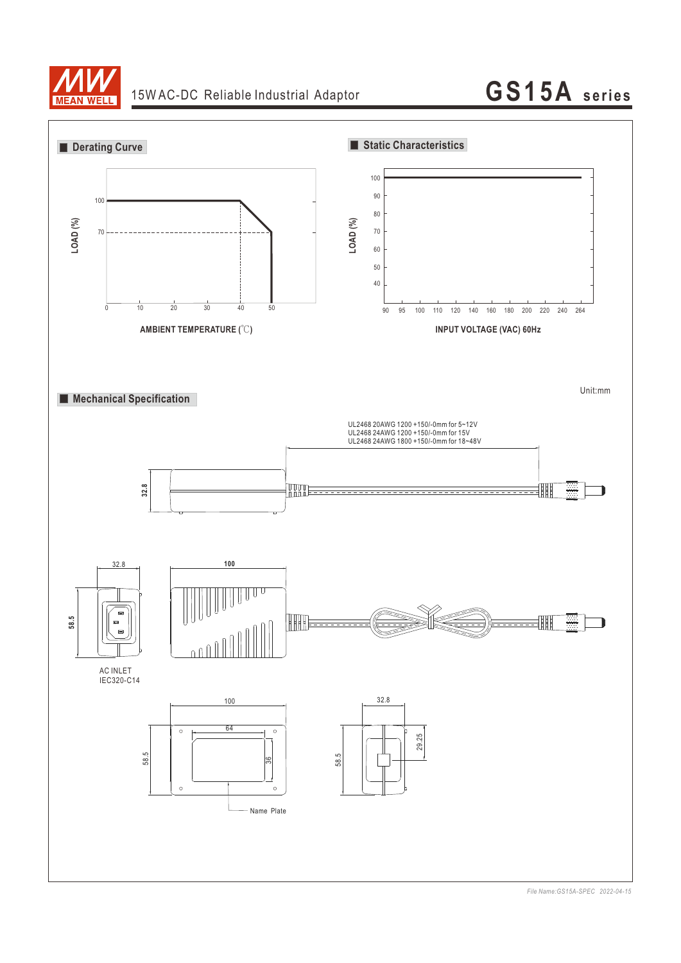

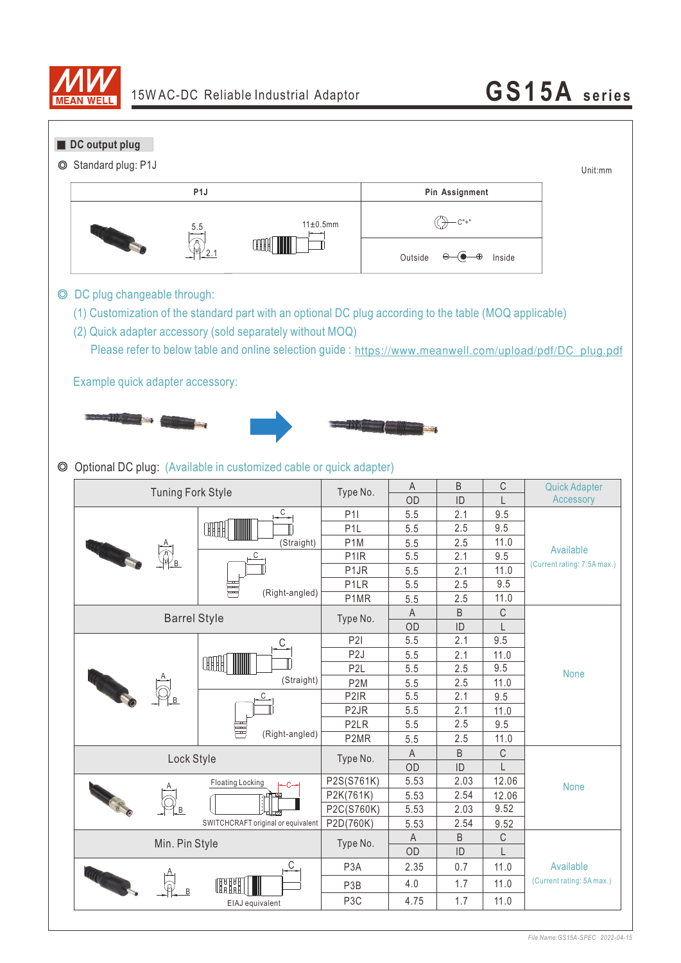

# 15W AC-DC Reliable Industrial Adaptor **GS15A** series

| O              | DC output plug<br>Standard plug: P1J                                                                                                                                                                                                                                                                           |                                    |                   |                    |           |                  | Unit:mm                     |
|----------------|----------------------------------------------------------------------------------------------------------------------------------------------------------------------------------------------------------------------------------------------------------------------------------------------------------------|------------------------------------|-------------------|--------------------|-----------|------------------|-----------------------------|
|                | P <sub>1</sub><br>Pin Assignment                                                                                                                                                                                                                                                                               |                                    |                   |                    |           |                  |                             |
|                |                                                                                                                                                                                                                                                                                                                | 11±0.5mm                           | $-C" +'$          |                    |           |                  |                             |
|                |                                                                                                                                                                                                                                                                                                                | ή                                  |                   | Outside            |           | Inside           |                             |
| $\circledcirc$ | DC plug changeable through:<br>(1) Customization of the standard part with an optional DC plug according to the table (MOQ applicable)<br>(2) Quick adapter accessory (sold separately without MOQ)<br>Please refer to below table and online selection guide: https://www.meanwell.com/upload/pdf/DC_plug.pdf |                                    |                   |                    |           |                  |                             |
|                | Example quick adapter accessory:                                                                                                                                                                                                                                                                               |                                    |                   |                    |           |                  |                             |
| $\circledcirc$ | Optional DC plug: (Available in customized cable or quick adapter)                                                                                                                                                                                                                                             |                                    |                   |                    |           |                  |                             |
|                | <b>Tuning Fork Style</b>                                                                                                                                                                                                                                                                                       |                                    | Type No.          | A                  | B         | $\mathbb{C}$     | <b>Quick Adapter</b>        |
|                |                                                                                                                                                                                                                                                                                                                | $C_{\rightarrow}$                  | P11               | OD<br>5.5          | ID<br>2.1 | L<br>9.5         | Accessory                   |
|                |                                                                                                                                                                                                                                                                                                                | F B B B                            | P <sub>1</sub> L  | 5.5                | 2.5       | 9.5              |                             |
|                |                                                                                                                                                                                                                                                                                                                | (Straight)                         | P <sub>1</sub> M  | 5.5                | 2.5       | 11.0             |                             |
|                |                                                                                                                                                                                                                                                                                                                | С                                  | P <sub>1R</sub>   | 5.5                | 2.1       | 9.5              | Available                   |
|                |                                                                                                                                                                                                                                                                                                                |                                    | P <sub>1</sub> JR | 5.5                | 2.1       | 11.0             | (Current rating: 7.5A max.) |
|                |                                                                                                                                                                                                                                                                                                                | (Right-angled)                     | P <sub>1</sub> LR | 5.5                | 2.5       | 9.5              |                             |
|                |                                                                                                                                                                                                                                                                                                                |                                    | P1MR              | 5.5                | 2.5       | 11.0             |                             |
|                | <b>Barrel Style</b>                                                                                                                                                                                                                                                                                            |                                    | Type No.          | A                  | B         | C                |                             |
|                |                                                                                                                                                                                                                                                                                                                |                                    | P2I               | OD                 | ID<br>2.1 | L<br>9.5         |                             |
|                |                                                                                                                                                                                                                                                                                                                | $\mathsf{C}$                       | P <sub>2</sub> J  | 5.5<br>5.5         | 2.1       | 11.0             |                             |
|                |                                                                                                                                                                                                                                                                                                                | <b>HHH</b>                         | P <sub>2</sub> L  | 5.5                | 2.5       | $9.5\,$          |                             |
|                |                                                                                                                                                                                                                                                                                                                | (Straight)                         | P <sub>2</sub> M  | $5.5\,$            | 2.5       | 11.0             | <b>None</b>                 |
|                | <b>CALCIO</b>                                                                                                                                                                                                                                                                                                  | $\mathsf{C}$                       | P <sub>2</sub> IR | 5.5                | 2.1       | 9.5              |                             |
|                |                                                                                                                                                                                                                                                                                                                |                                    | P <sub>2</sub> JR | 5.5                | 2.1       | 11.0             |                             |
|                |                                                                                                                                                                                                                                                                                                                | (Right-angled)                     | P <sub>2</sub> LR | 5.5                | 2.5       | 9.5              |                             |
|                |                                                                                                                                                                                                                                                                                                                |                                    | P2MR              | 5.5                | 2.5       | 11.0             |                             |
|                | Lock Style                                                                                                                                                                                                                                                                                                     |                                    | Type No.          | $\mathsf{A}$<br>OD | B<br>ID   | $\mathsf C$<br>L |                             |
|                |                                                                                                                                                                                                                                                                                                                | <b>Floating Locking</b>            | P2S(S761K)        | 5.53               | 2.03      | 12.06            |                             |
|                |                                                                                                                                                                                                                                                                                                                |                                    | P2K(761K)         | 5.53               | 2.54      | 12.06            | <b>None</b>                 |
|                |                                                                                                                                                                                                                                                                                                                |                                    | P2C(S760K)        | 5.53               | 2.03      | 9.52             |                             |
|                |                                                                                                                                                                                                                                                                                                                | SWITCHCRAFT original or equivalent | P2D(760K)         | 5.53               | 2.54      | 9.52             |                             |
|                | Min. Pin Style                                                                                                                                                                                                                                                                                                 |                                    | Type No.          | $\mathsf{A}$       | B         | $\mathbb{C}$     |                             |
|                |                                                                                                                                                                                                                                                                                                                |                                    |                   | OD                 | ID        | L                |                             |
|                |                                                                                                                                                                                                                                                                                                                | $\overline{C}$                     | P <sub>3</sub> A  | 2.35               | 0.7       | 11.0             | Available                   |
|                |                                                                                                                                                                                                                                                                                                                | ŒH                                 | P <sub>3</sub> B  | 4.0                | 1.7       | 11.0             | (Current rating: 5A max.)   |
|                |                                                                                                                                                                                                                                                                                                                | EIAJ equivalent                    | P <sub>3</sub> C  | 4.75               | 1.7       | 11.0             |                             |